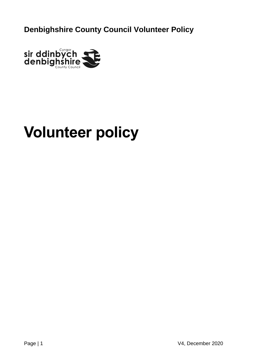

# **Volunteer policy**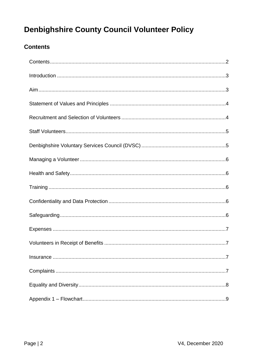## <span id="page-1-0"></span>**Contents**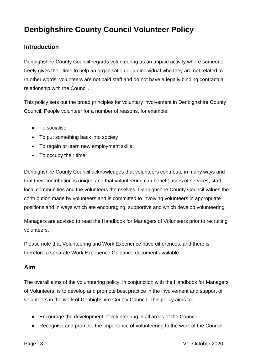#### <span id="page-2-0"></span>**Introduction**

Denbighshire County Council regards volunteering as an unpaid activity where someone freely gives their time to help an organisation or an individual who they are not related to. In other words, volunteers are not paid staff and do not have a legally binding contractual relationship with the Council.

This policy sets out the broad principles for voluntary involvement in Denbighshire County Council. People volunteer for a number of reasons, for example:

- To socialise
- To put something back into society
- To regain or learn new employment skills
- To occupy their time

Denbighshire County Council acknowledges that volunteers contribute in many ways and that their contribution is unique and that volunteering can benefit users of services, staff, local communities and the volunteers themselves. Denbighshire County Council values the contribution made by volunteers and is committed to involving volunteers in appropriate positions and in ways which are encouraging, supportive and which develop volunteering.

Managers are advised to read the Handbook for Managers of Volunteers prior to recruiting volunteers.

Please note that Volunteering and Work Experience have differences, and there is therefore a separate Work Experience Guidance document available.

#### <span id="page-2-1"></span>**Aim**

The overall aims of the volunteering policy, in conjunction with the Handbook for Managers of Volunteers, is to develop and promote best practice in the involvement and support of volunteers in the work of Denbighshire County Council. This policy aims to:

- Encourage the development of volunteering in all areas of the Council.
- Recognise and promote the importance of volunteering to the work of the Council.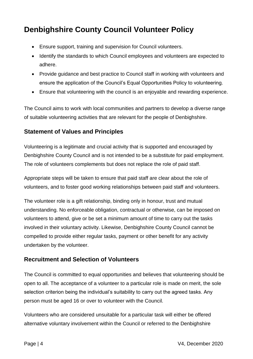- Ensure support, training and supervision for Council volunteers.
- Identify the standards to which Council employees and volunteers are expected to adhere.
- Provide guidance and best practice to Council staff in working with volunteers and ensure the application of the Council's Equal Opportunities Policy to volunteering.
- Ensure that volunteering with the council is an enjoyable and rewarding experience.

The Council aims to work with local communities and partners to develop a diverse range of suitable volunteering activities that are relevant for the people of Denbighshire.

#### <span id="page-3-0"></span>**Statement of Values and Principles**

Volunteering is a legitimate and crucial activity that is supported and encouraged by Denbighshire County Council and is not intended to be a substitute for paid employment. The role of volunteers complements but does not replace the role of paid staff.

Appropriate steps will be taken to ensure that paid staff are clear about the role of volunteers, and to foster good working relationships between paid staff and volunteers.

The volunteer role is a gift relationship, binding only in honour, trust and mutual understanding. No enforceable obligation, contractual or otherwise, can be imposed on volunteers to attend, give or be set a minimum amount of time to carry out the tasks involved in their voluntary activity. Likewise, Denbighshire County Council cannot be compelled to provide either regular tasks, payment or other benefit for any activity undertaken by the volunteer.

#### <span id="page-3-1"></span>**Recruitment and Selection of Volunteers**

The Council is committed to equal opportunities and believes that volunteering should be open to all. The acceptance of a volunteer to a particular role is made on merit, the sole selection criterion being the individual's suitability to carry out the agreed tasks. Any person must be aged 16 or over to volunteer with the Council.

Volunteers who are considered unsuitable for a particular task will either be offered alternative voluntary involvement within the Council or referred to the Denbighshire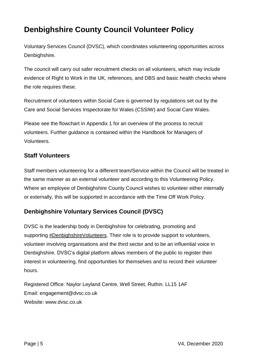Voluntary Services Council (DVSC), which coordinates volunteering opportunities across Denbighshire.

The council will carry out safer recruitment checks on all volunteers, which may include evidence of Right to Work in the UK, references, and DBS and basic health checks where the role requires these.

Recruitment of volunteers within Social Care is governed by regulations set out by the Care and Social Services Inspectorate for Wales (CSSIW) and Social Care Wales.

Please see the flowchart in Appendix 1 for an overview of the process to recruit volunteers. Further guidance is contained within the Handbook for Managers of Volunteers.

#### <span id="page-4-0"></span>**Staff Volunteers**

Staff members volunteering for a different team/Service within the Council will be treated in the same manner as an external volunteer and according to this Volunteering Policy. Where an employee of Denbighshire County Council wishes to volunteer either internally or externally, this will be supported in accordance with the Time Off Work Policy.

## <span id="page-4-1"></span>**Denbighshire Voluntary Services Council (DVSC)**

DVSC is the leadership body in Denbighshire for celebrating, promoting and supporting [#DenbighshireVolunteers.](http://denbighshirevolunteers.net/) Their role is to provide support to volunteers, volunteer involving organisations and the third sector and to be an influential voice in Denbighshire. DVSC's digital platform allows members of the public to register their interest in volunteering, find opportunities for themselves and to record their volunteer hours.

Registered Office: Naylor Leyland Centre, Well Street, Ruthin. LL15 1AF Email: engagement@dvsc.co.uk Website: www.dvsc.co.uk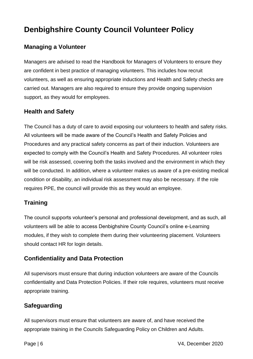#### <span id="page-5-0"></span>**Managing a Volunteer**

Managers are advised to read the Handbook for Managers of Volunteers to ensure they are confident in best practice of managing volunteers. This includes how recruit volunteers, as well as ensuring appropriate inductions and Health and Safety checks are carried out. Managers are also required to ensure they provide ongoing supervision support, as they would for employees.

#### <span id="page-5-1"></span>**Health and Safety**

The Council has a duty of care to avoid exposing our volunteers to health and safety risks. All volunteers will be made aware of the Council's Health and Safety Policies and Procedures and any practical safety concerns as part of their induction. Volunteers are expected to comply with the Council's Health and Safety Procedures. All volunteer roles will be risk assessed, covering both the tasks involved and the environment in which they will be conducted. In addition, where a volunteer makes us aware of a pre-existing medical condition or disability, an individual risk assessment may also be necessary. If the role requires PPE, the council will provide this as they would an employee.

#### <span id="page-5-2"></span>**Training**

The council supports volunteer's personal and professional development, and as such, all volunteers will be able to access Denbighshire County Council's online e-Learning modules, if they wish to complete them during their volunteering placement. Volunteers should contact HR for login details.

#### <span id="page-5-3"></span>**Confidentiality and Data Protection**

All supervisors must ensure that during induction volunteers are aware of the Councils confidentiality and Data Protection Policies. If their role requires, volunteers must receive appropriate training.

#### <span id="page-5-4"></span>**Safeguarding**

All supervisors must ensure that volunteers are aware of, and have received the appropriate training in the Councils Safeguarding Policy on Children and Adults.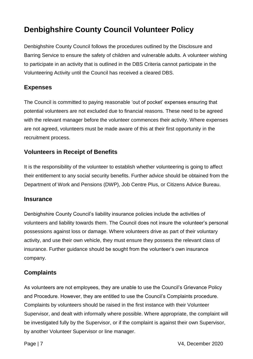Denbighshire County Council follows the procedures outlined by the Disclosure and Barring Service to ensure the safety of children and vulnerable adults. A volunteer wishing to participate in an activity that is outlined in the DBS Criteria cannot participate in the Volunteering Activity until the Council has received a cleared DBS.

#### <span id="page-6-0"></span>**Expenses**

The Council is committed to paying reasonable 'out of pocket' expenses ensuring that potential volunteers are not excluded due to financial reasons. These need to be agreed with the relevant manager before the volunteer commences their activity. Where expenses are not agreed, volunteers must be made aware of this at their first opportunity in the recruitment process.

#### <span id="page-6-1"></span>**Volunteers in Receipt of Benefits**

It is the responsibility of the volunteer to establish whether volunteering is going to affect their entitlement to any social security benefits. Further advice should be obtained from the Department of Work and Pensions (DWP), Job Centre Plus, or Citizens Advice Bureau.

#### <span id="page-6-2"></span>**Insurance**

Denbighshire County Council's liability insurance policies include the activities of volunteers and liability towards them. The Council does not insure the volunteer's personal possessions against loss or damage. Where volunteers drive as part of their voluntary activity, and use their own vehicle, they must ensure they possess the relevant class of insurance. Further guidance should be sought from the volunteer's own insurance company.

#### <span id="page-6-3"></span>**Complaints**

As volunteers are not employees, they are unable to use the Council's Grievance Policy and Procedure. However, they are entitled to use the Council's Complaints procedure. Complaints by volunteers should be raised in the first instance with their Volunteer Supervisor, and dealt with informally where possible. Where appropriate, the complaint will be investigated fully by the Supervisor, or if the complaint is against their own Supervisor, by another Volunteer Supervisor or line manager.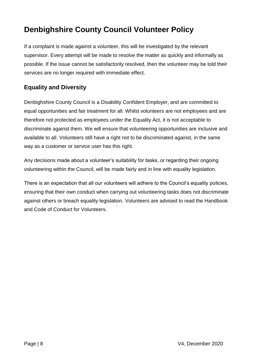If a complaint is made against a volunteer, this will be investigated by the relevant supervisor. Every attempt will be made to resolve the matter as quickly and informally as possible. If the issue cannot be satisfactorily resolved, then the volunteer may be told their services are no longer required with immediate effect.

## <span id="page-7-0"></span>**Equality and Diversity**

Denbighshire County Council is a Disability Confident Employer, and are committed to equal opportunities and fair treatment for all. Whilst volunteers are not employees and are therefore not protected as employees under the Equality Act, it is not acceptable to discriminate against them. We will ensure that volunteering opportunities are inclusive and available to all. Volunteers still have a right not to be discriminated against, in the same way as a customer or service user has this right.

Any decisions made about a volunteer's suitability for tasks, or regarding their ongoing volunteering within the Council, will be made fairly and in line with equality legislation.

There is an expectation that all our volunteers will adhere to the Council's equality policies, ensuring that their own conduct when carrying out volunteering tasks does not discriminate against others or breach equality legislation. Volunteers are advised to read the Handbook and Code of Conduct for Volunteers.